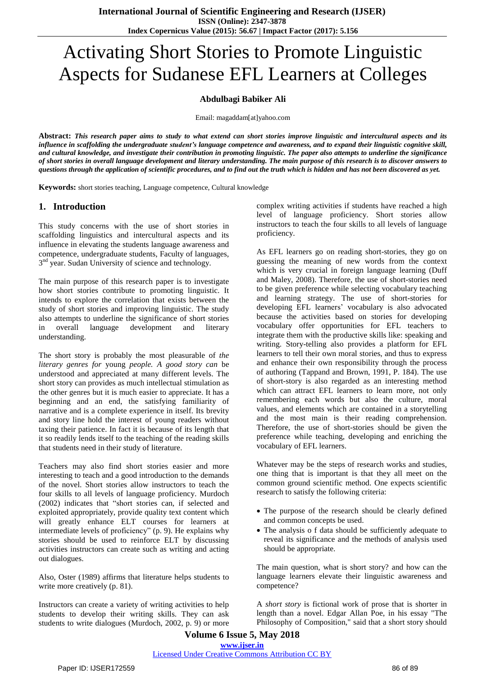# Activating Short Stories to Promote Linguistic Aspects for Sudanese EFL Learners at Colleges

#### **Abdulbagi Babiker Ali**

Email: magaddam[at]yahoo.com

Abstract: This research paper aims to study to what extend can short stories improve linguistic and intercultural aspects and its influence in scaffolding the undergraduate student's language competence and awareness, and to expand their linguistic cognitive skill, and cultural knowledge, and investigate their contribution in promoting linguistic. The paper also attempts to underline the significance of short stories in overall language development and literary understanding. The main purpose of this research is to discover answers to questions through the application of scientific procedures, and to find out the truth which is hidden and has not been discovered as yet.

**Keywords:** short stories teaching, Language competence, Cultural knowledge

#### **1. Introduction**

This study concerns with the use of short stories in scaffolding linguistics and intercultural aspects and its influence in elevating the students language awareness and competence, undergraduate students, Faculty of languages, 3<sup>nd</sup> year. Sudan University of science and technology.

The main purpose of this research paper is to investigate how short stories contribute to promoting linguistic. It intends to explore the correlation that exists between the study of short stories and improving linguistic. The study also attempts to underline the significance of short stories in overall language development and literary understanding.

The short story is probably the most pleasurable of *the literary genres for* young *people. A good story can* be understood and appreciated at many different levels. The short story can provides as much intellectual stimulation as the other genres but it is much easier to appreciate. It has a beginning and an end, the satisfying familiarity of narrative and is a complete experience in itself. Its brevity and story line hold the interest of young readers without taxing their patience. In fact it is because of its length that it so readily lends itself to the teaching of the reading skills that students need in their study of literature.

Teachers may also find short stories easier and more interesting to teach and a good introduction to the demands of the novel. Short stories allow instructors to teach the four skills to all levels of language proficiency. Murdoch (2002) indicates that "short stories can, if selected and exploited appropriately, provide quality text content which will greatly enhance ELT courses for learners at intermediate levels of proficiency" (p. 9). He explains why stories should be used to reinforce ELT by discussing activities instructors can create such as writing and acting out dialogues.

Also, Oster (1989) affirms that literature helps students to write more creatively (p. 81).

Instructors can create a variety of writing activities to help students to develop their writing skills. They can ask students to write dialogues (Murdoch, 2002, p. 9) or more

complex writing activities if students have reached a high level of language proficiency. Short stories allow instructors to teach the four skills to all levels of language proficiency.

As EFL learners go on reading short-stories, they go on guessing the meaning of new words from the context which is very crucial in foreign language learning (Duff and Maley, 2008). Therefore, the use of short-stories need to be given preference while selecting vocabulary teaching and learning strategy. The use of short-stories for developing EFL learners' vocabulary is also advocated because the activities based on stories for developing vocabulary offer opportunities for EFL teachers to integrate them with the productive skills like: speaking and writing. Story-telling also provides a platform for EFL learners to tell their own moral stories, and thus to express and enhance their own responsibility through the process of authoring (Tappand and Brown, 1991, P. 184). The use of short-story is also regarded as an interesting method which can attract EFL learners to learn more, not only remembering each words but also the culture, moral values, and elements which are contained in a storytelling and the most main is their reading comprehension. Therefore, the use of short-stories should be given the preference while teaching, developing and enriching the vocabulary of EFL learners.

Whatever may be the steps of research works and studies, one thing that is important is that they all meet on the common ground scientific method. One expects scientific research to satisfy the following criteria:

- The purpose of the research should be clearly defined and common concepts be used.
- The analysis o f data should be sufficiently adequate to reveal its significance and the methods of analysis used should be appropriate.

The main question, what is short story? and how can the language learners elevate their linguistic awareness and competence?

A *short story* is fictional work of prose that is shorter in length than a novel. Edgar Allan Poe, in his essay "The Philosophy of Composition," said that a short story should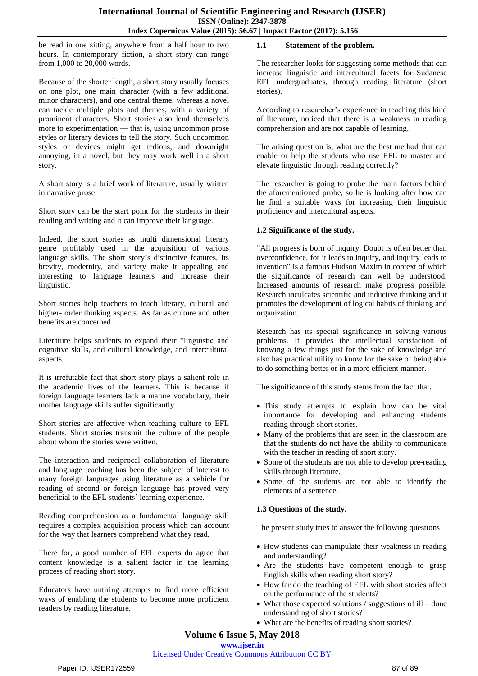be read in one sitting, anywhere from a half hour to two hours. In contemporary fiction, a short story can range from 1,000 to 20,000 words.

Because of the shorter length, a short story usually focuses on one plot, one main character (with a few additional minor characters), and one central theme, whereas a novel can tackle multiple plots and themes, with a variety of prominent characters. Short stories also lend themselves more to experimentation — that is, using uncommon prose styles or literary devices to tell the story. Such uncommon styles or devices might get tedious, and downright annoying, in a novel, but they may work well in a short story.

A short story is a brief work of literature, usually written in narrative prose.

Short story can be the start point for the students in their reading and writing and it can improve their language.

Indeed, the short stories as multi dimensional literary genre profitably used in the acquisition of various language skills. The short story's distinctive features, its brevity, modernity, and variety make it appealing and interesting to language learners and increase their linguistic.

Short stories help teachers to teach literary, cultural and higher- order thinking aspects. As far as culture and other benefits are concerned.

Literature helps students to expand their "linguistic and cognitive skills, and cultural knowledge, and intercultural aspects.

It is irrefutable fact that short story plays a salient role in the academic lives of the learners. This is because if foreign language learners lack a mature vocabulary, their mother language skills suffer significantly.

Short stories are affective when teaching culture to EFL students. Short stories transmit the culture of the people about whom the stories were written.

The interaction and reciprocal collaboration of literature and language teaching has been the subject of interest to many foreign languages using literature as a vehicle for reading of second or foreign language has proved very beneficial to the EFL students' learning experience.

Reading comprehension as a fundamental language skill requires a complex acquisition process which can account for the way that learners comprehend what they read.

There for, a good number of EFL experts do agree that content knowledge is a salient factor in the learning process of reading short story.

Educators have untiring attempts to find more efficient ways of enabling the students to become more proficient readers by reading literature.

#### **1.1 Statement of the problem.**

The researcher looks for suggesting some methods that can increase linguistic and intercultural facets for Sudanese EFL undergraduates, through reading literature (short stories).

According to researcher's experience in teaching this kind of literature, noticed that there is a weakness in reading comprehension and are not capable of learning.

The arising question is, what are the best method that can enable or help the students who use EFL to master and elevate linguistic through reading correctly?

The researcher is going to probe the main factors behind the aforementioned probe, so he is looking after how can he find a suitable ways for increasing their linguistic proficiency and intercultural aspects.

#### **1.2 Significance of the study.**

"All progress is born of inquiry. Doubt is often better than overconfidence, for it leads to inquiry, and inquiry leads to invention" is a famous Hudson Maxim in context of which the significance of research can well be understood. Increased amounts of research make progress possible. Research inculcates scientific and inductive thinking and it promotes the development of logical habits of thinking and organization.

Research has its special significance in solving various problems. It provides the intellectual satisfaction of knowing a few things just for the sake of knowledge and also has practical utility to know for the sake of being able to do something better or in a more efficient manner.

The significance of this study stems from the fact that.

- This study attempts to explain how can be vital importance for developing and enhancing students reading through short stories.
- Many of the problems that are seen in the classroom are that the students do not have the ability to communicate with the teacher in reading of short story.
- Some of the students are not able to develop pre-reading skills through literature.
- Some of the students are not able to identify the elements of a sentence.

#### **1.3 Questions of the study.**

The present study tries to answer the following questions

- How students can manipulate their weakness in reading and understanding?
- Are the students have competent enough to grasp English skills when reading short story?
- How far do the teaching of EFL with short stories affect on the performance of the students?
- What those expected solutions / suggestions of ill done understanding of short stories?
- What are the benefits of reading short stories?

## **Volume 6 Issue 5, May 2018**

#### **<www.ijser.in>**

### Licensed [Under Creative Commons Attribution CC BY](http://creativecommons.org/licenses/by/4.0/)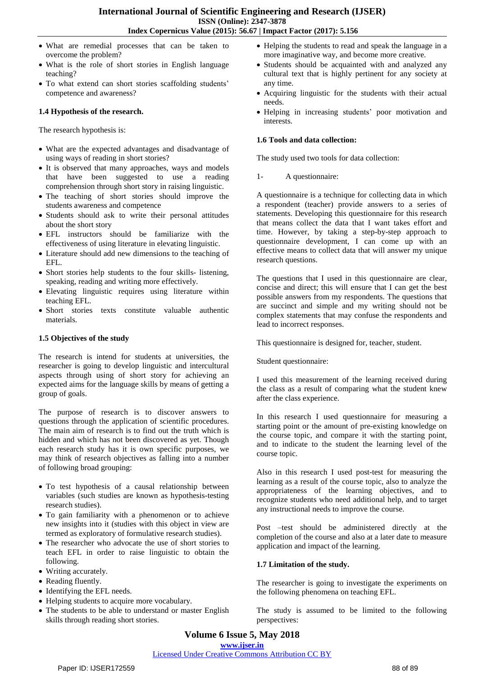- What are remedial processes that can be taken to overcome the problem?
- What is the role of short stories in English language teaching?
- To what extend can short stories scaffolding students' competence and awareness?

#### **1.4 Hypothesis of the research.**

The research hypothesis is:

- What are the expected advantages and disadvantage of using ways of reading in short stories?
- It is observed that many approaches, ways and models that have been suggested to use a reading comprehension through short story in raising linguistic.
- The teaching of short stories should improve the students awareness and competence
- Students should ask to write their personal attitudes about the short story
- EFL instructors should be familiarize with the effectiveness of using literature in elevating linguistic.
- Literature should add new dimensions to the teaching of EFL.
- Short stories help students to the four skills- listening, speaking, reading and writing more effectively.
- Elevating linguistic requires using literature within teaching EFL.
- Short stories texts constitute valuable authentic materials.

#### **1.5 Objectives of the study**

The research is intend for students at universities, the researcher is going to develop linguistic and intercultural aspects through using of short story for achieving an expected aims for the language skills by means of getting a group of goals.

The purpose of research is to discover answers to questions through the application of scientific procedures. The main aim of research is to find out the truth which is hidden and which has not been discovered as yet. Though each research study has it is own specific purposes, we may think of research objectives as falling into a number of following broad grouping:

- To test hypothesis of a causal relationship between variables (such studies are known as hypothesis-testing research studies).
- To gain familiarity with a phenomenon or to achieve new insights into it (studies with this object in view are termed as exploratory of formulative research studies).
- The researcher who advocate the use of short stories to teach EFL in order to raise linguistic to obtain the following.
- Writing accurately.
- Reading fluently.
- Identifying the EFL needs.
- Helping students to acquire more vocabulary.
- The students to be able to understand or master English skills through reading short stories.
- Helping the students to read and speak the language in a more imaginative way, and become more creative.
- Students should be acquainted with and analyzed any cultural text that is highly pertinent for any society at any time.
- Acquiring linguistic for the students with their actual needs.
- Helping in increasing students' poor motivation and interests.

#### **1.6 Tools and data collection:**

The study used two tools for data collection:

1- A questionnaire:

A questionnaire is a technique for collecting data in which a respondent (teacher) provide answers to a series of statements. Developing this questionnaire for this research that means collect the data that I want takes effort and time. However, by taking a step-by-step approach to questionnaire development, I can come up with an effective means to collect data that will answer my unique research questions.

The questions that I used in this questionnaire are clear, concise and direct; this will ensure that I can get the best possible answers from my respondents. The questions that are succinct and simple and my writing should not be complex statements that may confuse the respondents and lead to incorrect responses.

This questionnaire is designed for, teacher, student.

Student questionnaire:

I used this measurement of the learning received during the class as a result of comparing what the student knew after the class experience.

In this research I used questionnaire for measuring a starting point or the amount of pre-existing knowledge on the course topic, and compare it with the starting point, and to indicate to the student the learning level of the course topic.

Also in this research I used post-test for measuring the learning as a result of the course topic, also to analyze the appropriateness of the learning objectives, and to recognize students who need additional help, and to target any instructional needs to improve the course.

Post –test should be administered directly at the completion of the course and also at a later date to measure application and impact of the learning.

#### **1.7 Limitation of the study.**

The researcher is going to investigate the experiments on the following phenomena on teaching EFL.

The study is assumed to be limited to the following perspectives:

# **Volume 6 Issue 5, May 2018**

**<www.ijser.in>** Licensed [Under Creative Commons Attribution CC BY](http://creativecommons.org/licenses/by/4.0/)